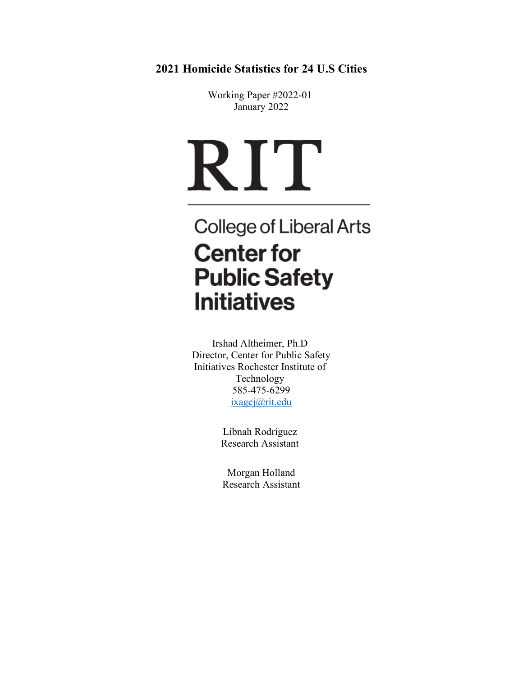**2021 Homicide Statistics for 24 U.S Cities**

Working Paper #2022-01 January 2022

# RIT

## **College of Liberal Arts Center for Public Safety Initiatives**

Irshad Altheimer, Ph.D Director, Center for Public Safety Initiatives Rochester Institute of Technology 585-475-6299 [ixagcj@rit.edu](mailto:ixagcj@rit.edu)

> Libnah Rodriguez Research Assistant

Morgan Holland Research Assistant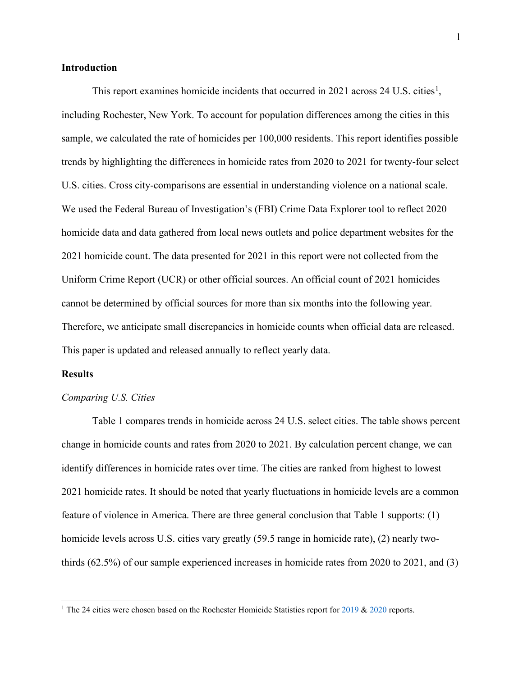#### **Introduction**

This report examines homicide incidents that occurred in 202[1](#page-1-0) across 24 U.S. cities<sup>1</sup>, including Rochester, New York. To account for population differences among the cities in this sample, we calculated the rate of homicides per 100,000 residents. This report identifies possible trends by highlighting the differences in homicide rates from 2020 to 2021 for twenty-four select U.S. cities. Cross city-comparisons are essential in understanding violence on a national scale. We used the Federal Bureau of Investigation's (FBI) Crime Data Explorer tool to reflect 2020 homicide data and data gathered from local news outlets and police department websites for the 2021 homicide count. The data presented for 2021 in this report were not collected from the Uniform Crime Report (UCR) or other official sources. An official count of 2021 homicides cannot be determined by official sources for more than six months into the following year. Therefore, we anticipate small discrepancies in homicide counts when official data are released. This paper is updated and released annually to reflect yearly data.

#### **Results**

#### *Comparing U.S. Cities*

Table 1 compares trends in homicide across 24 U.S. select cities. The table shows percent change in homicide counts and rates from 2020 to 2021. By calculation percent change, we can identify differences in homicide rates over time. The cities are ranked from highest to lowest 2021 homicide rates. It should be noted that yearly fluctuations in homicide levels are a common feature of violence in America. There are three general conclusion that Table 1 supports: (1) homicide levels across U.S. cities vary greatly (59.5 range in homicide rate), (2) nearly twothirds (62.5%) of our sample experienced increases in homicide rates from 2020 to 2021, and (3)

<span id="page-1-0"></span><sup>&</sup>lt;sup>1</sup> The 24 cities were chosen based on the Rochester Homicide Statistics report for  $2019$  &  $2020$  reports.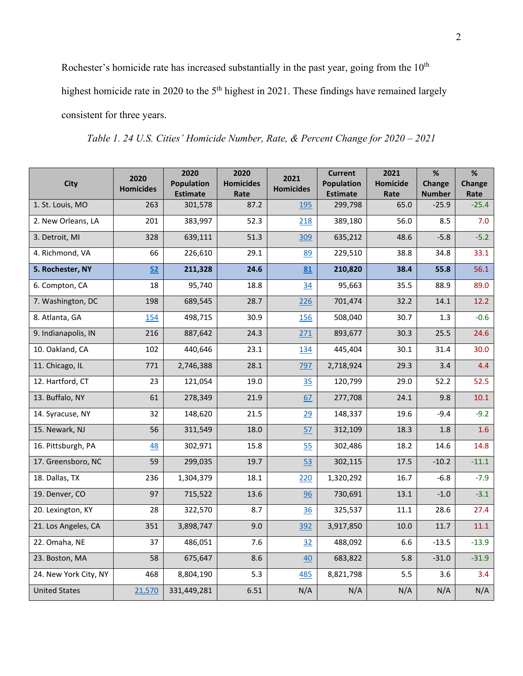Rochester's homicide rate has increased substantially in the past year, going from the  $10<sup>th</sup>$ 

highest homicide rate in 2020 to the 5<sup>th</sup> highest in 2021. These findings have remained largely

consistent for three years.

*Table 1. 24 U.S. Cities' Homicide Number, Rate, & Percent Change for 2020 – 2021*

| <b>City</b>           | 2020<br><b>Homicides</b> | 2020<br><b>Population</b><br><b>Estimate</b> | 2020<br><b>Homicides</b><br>Rate | 2021<br><b>Homicides</b> | <b>Current</b><br><b>Population</b><br><b>Estimate</b> | 2021<br><b>Homicide</b><br>Rate | %<br>Change<br><b>Number</b> | %<br><b>Change</b><br>Rate |
|-----------------------|--------------------------|----------------------------------------------|----------------------------------|--------------------------|--------------------------------------------------------|---------------------------------|------------------------------|----------------------------|
| 1. St. Louis, MO      | 263                      | 301,578                                      | 87.2                             | 195                      | 299,798                                                | 65.0                            | $-25.9$                      | $-25.4$                    |
| 2. New Orleans, LA    | 201                      | 383,997                                      | 52.3                             | 218                      | 389,180                                                | 56.0                            | 8.5                          | 7.0                        |
| 3. Detroit, MI        | 328                      | 639,111                                      | 51.3                             | 309                      | 635,212                                                | 48.6                            | $-5.8$                       | $-5.2$                     |
| 4. Richmond, VA       | 66                       | 226,610                                      | 29.1                             | 89                       | 229,510                                                | 38.8                            | 34.8                         | 33.1                       |
| 5. Rochester, NY      | 52                       | 211,328                                      | 24.6                             | 81                       | 210,820                                                | 38.4                            | 55.8                         | 56.1                       |
| 6. Compton, CA        | 18                       | 95,740                                       | 18.8                             | 34                       | 95,663                                                 | 35.5                            | 88.9                         | 89.0                       |
| 7. Washington, DC     | 198                      | 689,545                                      | 28.7                             | 226                      | 701,474                                                | 32.2                            | 14.1                         | 12.2                       |
| 8. Atlanta, GA        | 154                      | 498,715                                      | 30.9                             | 156                      | 508,040                                                | 30.7                            | 1.3                          | $-0.6$                     |
| 9. Indianapolis, IN   | 216                      | 887,642                                      | 24.3                             | 271                      | 893,677                                                | 30.3                            | 25.5                         | 24.6                       |
| 10. Oakland, CA       | 102                      | 440,646                                      | 23.1                             | 134                      | 445,404                                                | 30.1                            | 31.4                         | 30.0                       |
| 11. Chicago, IL       | 771                      | 2,746,388                                    | 28.1                             | 797                      | 2,718,924                                              | 29.3                            | 3.4                          | 4.4                        |
| 12. Hartford, CT      | 23                       | 121,054                                      | 19.0                             | 35                       | 120,799                                                | 29.0                            | 52.2                         | 52.5                       |
| 13. Buffalo, NY       | 61                       | 278,349                                      | 21.9                             | 67                       | 277,708                                                | 24.1                            | 9.8                          | 10.1                       |
| 14. Syracuse, NY      | 32                       | 148,620                                      | 21.5                             | 29                       | 148,337                                                | 19.6                            | $-9.4$                       | $-9.2$                     |
| 15. Newark, NJ        | 56                       | 311,549                                      | 18.0                             | 57                       | 312,109                                                | 18.3                            | 1.8                          | 1.6                        |
| 16. Pittsburgh, PA    | 48                       | 302,971                                      | 15.8                             | 55                       | 302,486                                                | 18.2                            | 14.6                         | 14.8                       |
| 17. Greensboro, NC    | 59                       | 299,035                                      | 19.7                             | 53                       | 302,115                                                | 17.5                            | $-10.2$                      | $-11.1$                    |
| 18. Dallas, TX        | 236                      | 1,304,379                                    | 18.1                             | 220                      | 1,320,292                                              | 16.7                            | $-6.8$                       | $-7.9$                     |
| 19. Denver, CO        | 97                       | 715,522                                      | 13.6                             | 96                       | 730,691                                                | 13.1                            | $-1.0$                       | $-3.1$                     |
| 20. Lexington, KY     | 28                       | 322,570                                      | 8.7                              | 36                       | 325,537                                                | 11.1                            | 28.6                         | 27.4                       |
| 21. Los Angeles, CA   | 351                      | 3,898,747                                    | 9.0                              | 392                      | 3,917,850                                              | 10.0                            | 11.7                         | 11.1                       |
| 22. Omaha, NE         | 37                       | 486,051                                      | 7.6                              | 32                       | 488,092                                                | 6.6                             | $-13.5$                      | $-13.9$                    |
| 23. Boston, MA        | 58                       | 675,647                                      | 8.6                              | 40                       | 683,822                                                | 5.8                             | $-31.0$                      | $-31.9$                    |
| 24. New York City, NY | 468                      | 8,804,190                                    | 5.3                              | 485                      | 8,821,798                                              | 5.5                             | 3.6                          | 3.4                        |
| <b>United States</b>  | 21,570                   | 331,449,281                                  | 6.51                             | N/A                      | N/A                                                    | N/A                             | N/A                          | N/A                        |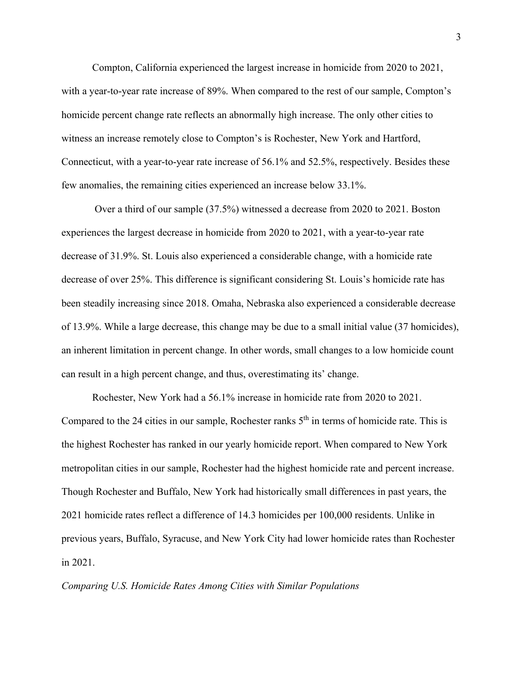Compton, California experienced the largest increase in homicide from 2020 to 2021, with a year-to-year rate increase of 89%. When compared to the rest of our sample, Compton's homicide percent change rate reflects an abnormally high increase. The only other cities to witness an increase remotely close to Compton's is Rochester, New York and Hartford, Connecticut, with a year-to-year rate increase of 56.1% and 52.5%, respectively. Besides these few anomalies, the remaining cities experienced an increase below 33.1%.

Over a third of our sample (37.5%) witnessed a decrease from 2020 to 2021. Boston experiences the largest decrease in homicide from 2020 to 2021, with a year-to-year rate decrease of 31.9%. St. Louis also experienced a considerable change, with a homicide rate decrease of over 25%. This difference is significant considering St. Louis's homicide rate has been steadily increasing since 2018. Omaha, Nebraska also experienced a considerable decrease of 13.9%. While a large decrease, this change may be due to a small initial value (37 homicides), an inherent limitation in percent change. In other words, small changes to a low homicide count can result in a high percent change, and thus, overestimating its' change.

Rochester, New York had a 56.1% increase in homicide rate from 2020 to 2021. Compared to the 24 cities in our sample, Rochester ranks  $5<sup>th</sup>$  in terms of homicide rate. This is the highest Rochester has ranked in our yearly homicide report. When compared to New York metropolitan cities in our sample, Rochester had the highest homicide rate and percent increase. Though Rochester and Buffalo, New York had historically small differences in past years, the 2021 homicide rates reflect a difference of 14.3 homicides per 100,000 residents. Unlike in previous years, Buffalo, Syracuse, and New York City had lower homicide rates than Rochester in 2021.

*Comparing U.S. Homicide Rates Among Cities with Similar Populations*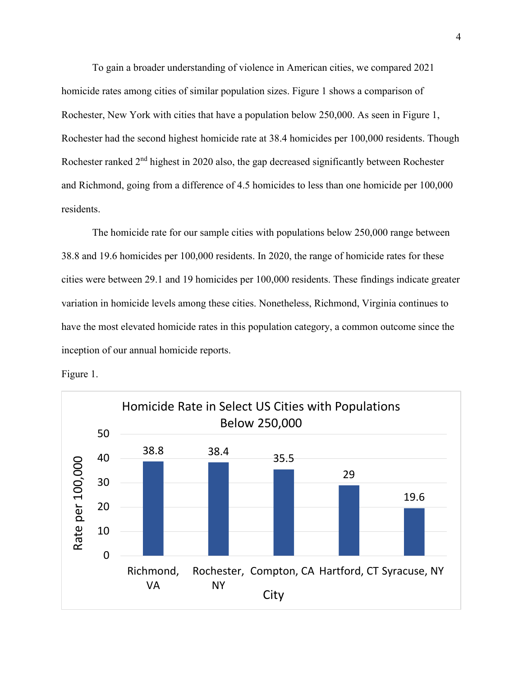To gain a broader understanding of violence in American cities, we compared 2021 homicide rates among cities of similar population sizes. Figure 1 shows a comparison of Rochester, New York with cities that have a population below 250,000. As seen in Figure 1, Rochester had the second highest homicide rate at 38.4 homicides per 100,000 residents. Though Rochester ranked 2<sup>nd</sup> highest in 2020 also, the gap decreased significantly between Rochester and Richmond, going from a difference of 4.5 homicides to less than one homicide per 100,000 residents.

The homicide rate for our sample cities with populations below 250,000 range between 38.8 and 19.6 homicides per 100,000 residents. In 2020, the range of homicide rates for these cities were between 29.1 and 19 homicides per 100,000 residents. These findings indicate greater variation in homicide levels among these cities. Nonetheless, Richmond, Virginia continues to have the most elevated homicide rates in this population category, a common outcome since the inception of our annual homicide reports.



Figure 1.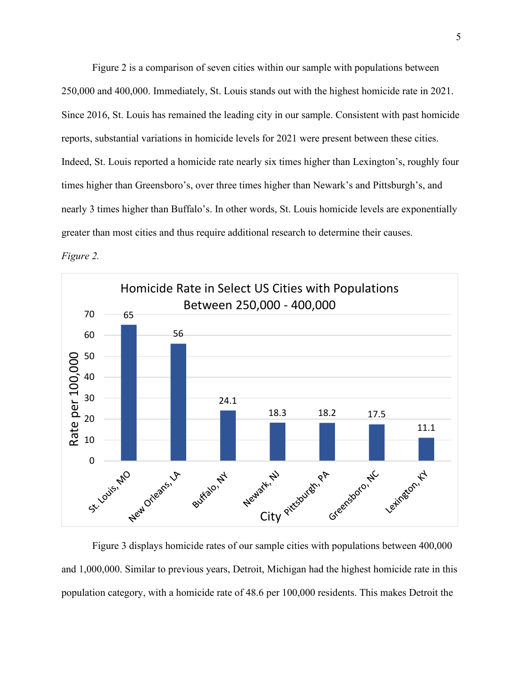Figure 2 is a comparison of seven cities within our sample with populations between 250,000 and 400,000. Immediately, St. Louis stands out with the highest homicide rate in 2021. Since 2016, St. Louis has remained the leading city in our sample. Consistent with past homicide reports, substantial variations in homicide levels for 2021 were present between these cities. Indeed, St. Louis reported a homicide rate nearly six times higher than Lexington's, roughly four times higher than Greensboro's, over three times higher than Newark's and Pittsburgh's, and nearly 3 times higher than Buffalo's. In other words, St. Louis homicide levels are exponentially greater than most cities and thus require additional research to determine their causes. *Figure 2.* 



Figure 3 displays homicide rates of our sample cities with populations between 400,000 and 1,000,000. Similar to previous years, Detroit, Michigan had the highest homicide rate in this population category, with a homicide rate of 48.6 per 100,000 residents. This makes Detroit the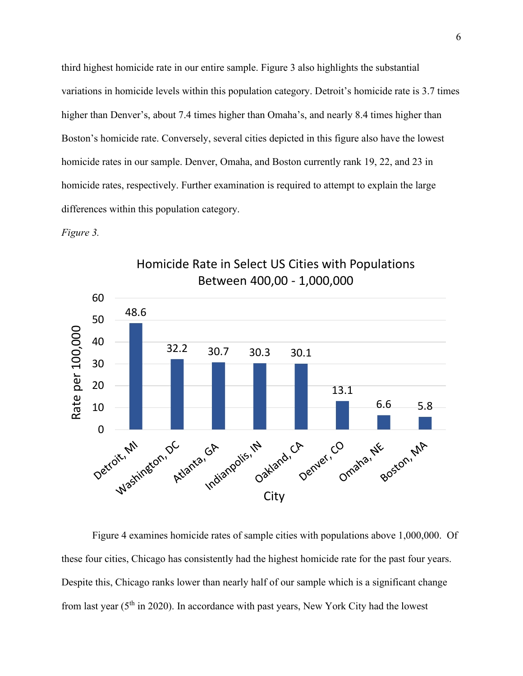third highest homicide rate in our entire sample. Figure 3 also highlights the substantial variations in homicide levels within this population category. Detroit's homicide rate is 3.7 times higher than Denver's, about 7.4 times higher than Omaha's, and nearly 8.4 times higher than Boston's homicide rate. Conversely, several cities depicted in this figure also have the lowest homicide rates in our sample. Denver, Omaha, and Boston currently rank 19, 22, and 23 in homicide rates, respectively. Further examination is required to attempt to explain the large differences within this population category.

#### *Figure 3.*



Homicide Rate in Select US Cities with Populations Between 400,00 - 1,000,000

Figure 4 examines homicide rates of sample cities with populations above 1,000,000. Of these four cities, Chicago has consistently had the highest homicide rate for the past four years. Despite this, Chicago ranks lower than nearly half of our sample which is a significant change from last year ( $5<sup>th</sup>$  in 2020). In accordance with past years, New York City had the lowest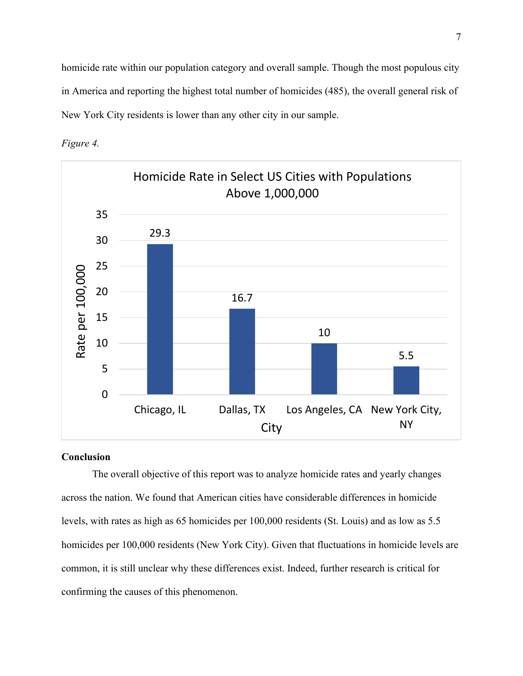homicide rate within our population category and overall sample. Though the most populous city in America and reporting the highest total number of homicides (485), the overall general risk of New York City residents is lower than any other city in our sample.





### **Conclusion**

The overall objective of this report was to analyze homicide rates and yearly changes across the nation. We found that American cities have considerable differences in homicide levels, with rates as high as 65 homicides per 100,000 residents (St. Louis) and as low as 5.5 homicides per 100,000 residents (New York City). Given that fluctuations in homicide levels are common, it is still unclear why these differences exist. Indeed, further research is critical for confirming the causes of this phenomenon.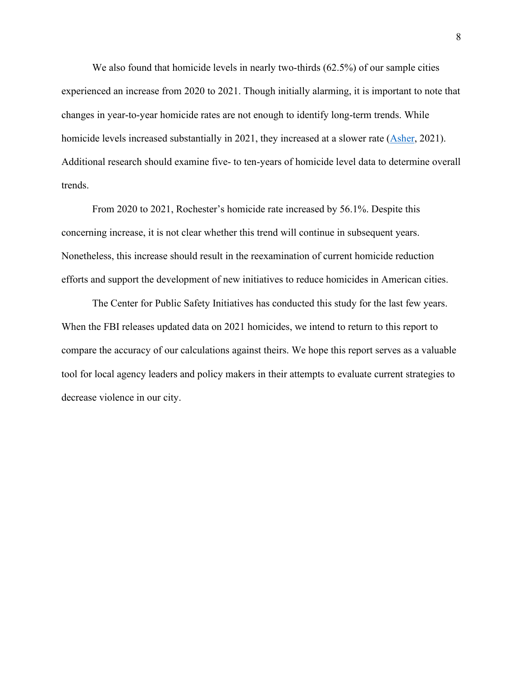We also found that homicide levels in nearly two-thirds (62.5%) of our sample cities experienced an increase from 2020 to 2021. Though initially alarming, it is important to note that changes in year-to-year homicide rates are not enough to identify long-term trends. While homicide levels increased substantially in 2021, they increased at a slower rate [\(Asher,](https://www.nytimes.com/2021/09/22/upshot/murder-rise-2020.html) 2021). Additional research should examine five- to ten-years of homicide level data to determine overall trends.

From 2020 to 2021, Rochester's homicide rate increased by 56.1%. Despite this concerning increase, it is not clear whether this trend will continue in subsequent years. Nonetheless, this increase should result in the reexamination of current homicide reduction efforts and support the development of new initiatives to reduce homicides in American cities.

The Center for Public Safety Initiatives has conducted this study for the last few years. When the FBI releases updated data on 2021 homicides, we intend to return to this report to compare the accuracy of our calculations against theirs. We hope this report serves as a valuable tool for local agency leaders and policy makers in their attempts to evaluate current strategies to decrease violence in our city.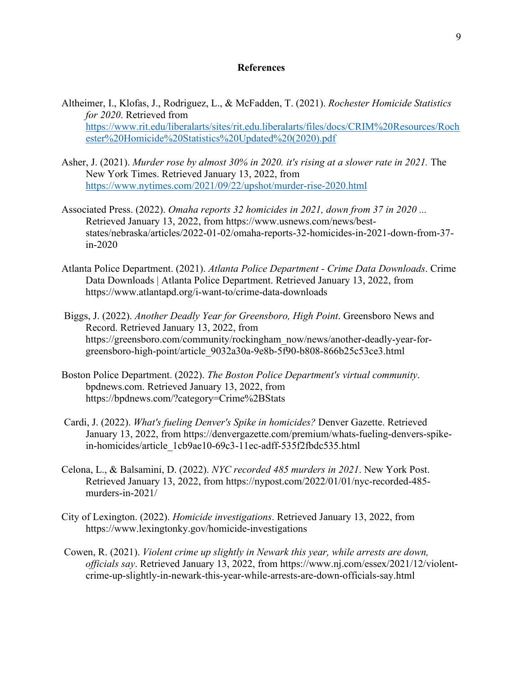#### **References**

- Altheimer, I., Klofas, J., Rodriguez, L., & McFadden, T. (2021). *Rochester Homicide Statistics for 2020*. Retrieved from [https://www.rit.edu/liberalarts/sites/rit.edu.liberalarts/files/docs/CRIM%20Resources/Roch](https://www.rit.edu/liberalarts/sites/rit.edu.liberalarts/files/docs/CRIM%20Resources/Rochester%20Homicide%20Statistics%20Updated%20(2020).pdf) [ester%20Homicide%20Statistics%20Updated%20\(2020\).pdf](https://www.rit.edu/liberalarts/sites/rit.edu.liberalarts/files/docs/CRIM%20Resources/Rochester%20Homicide%20Statistics%20Updated%20(2020).pdf)
- Asher, J. (2021). *Murder rose by almost 30% in 2020. it's rising at a slower rate in 2021.* The New York Times. Retrieved January 13, 2022, from <https://www.nytimes.com/2021/09/22/upshot/murder-rise-2020.html>
- Associated Press. (2022). *Omaha reports 32 homicides in 2021, down from 37 in 2020 ...* Retrieved January 13, 2022, from https://www.usnews.com/news/beststates/nebraska/articles/2022-01-02/omaha-reports-32-homicides-in-2021-down-from-37 in-2020
- Atlanta Police Department. (2021). *Atlanta Police Department - Crime Data Downloads*. Crime Data Downloads | Atlanta Police Department. Retrieved January 13, 2022, from https://www.atlantapd.org/i-want-to/crime-data-downloads
- Biggs, J. (2022). *Another Deadly Year for Greensboro, High Point*. Greensboro News and Record. Retrieved January 13, 2022, from https://greensboro.com/community/rockingham\_now/news/another-deadly-year-forgreensboro-high-point/article\_9032a30a-9e8b-5f90-b808-866b25c53ce3.html
- Boston Police Department. (2022). *The Boston Police Department's virtual community*. bpdnews.com. Retrieved January 13, 2022, from https://bpdnews.com/?category=Crime%2BStats
- Cardi, J. (2022). *What's fueling Denver's Spike in homicides?* Denver Gazette. Retrieved January 13, 2022, from https://denvergazette.com/premium/whats-fueling-denvers-spikein-homicides/article\_1cb9ae10-69c3-11ec-adff-535f2fbdc535.html
- Celona, L., & Balsamini, D. (2022). *NYC recorded 485 murders in 2021*. New York Post. Retrieved January 13, 2022, from https://nypost.com/2022/01/01/nyc-recorded-485 murders-in-2021/
- City of Lexington. (2022). *Homicide investigations*. Retrieved January 13, 2022, from https://www.lexingtonky.gov/homicide-investigations
- Cowen, R. (2021). *Violent crime up slightly in Newark this year, while arrests are down, officials say*. Retrieved January 13, 2022, from https://www.nj.com/essex/2021/12/violentcrime-up-slightly-in-newark-this-year-while-arrests-are-down-officials-say.html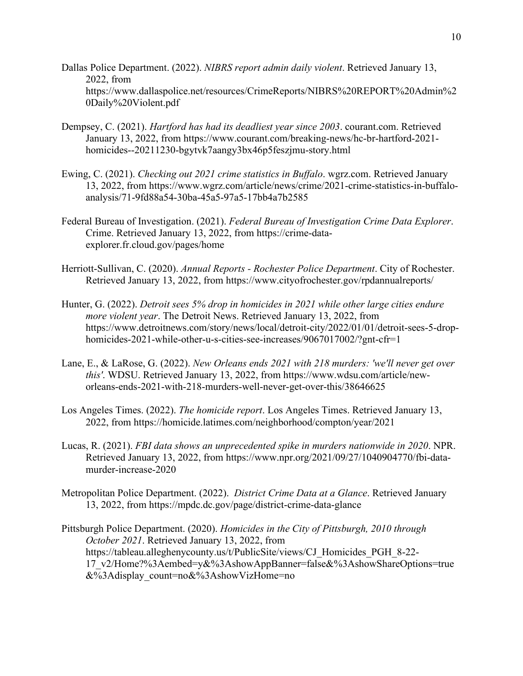- Dallas Police Department. (2022). *NIBRS report admin daily violent*. Retrieved January 13, 2022, from https://www.dallaspolice.net/resources/CrimeReports/NIBRS%20REPORT%20Admin%2 0Daily%20Violent.pdf
- Dempsey, C. (2021). *Hartford has had its deadliest year since 2003*. courant.com. Retrieved January 13, 2022, from https://www.courant.com/breaking-news/hc-br-hartford-2021 homicides--20211230-bgytvk7aangy3bx46p5feszjmu-story.html
- Ewing, C. (2021). *Checking out 2021 crime statistics in Buffalo*. wgrz.com. Retrieved January 13, 2022, from https://www.wgrz.com/article/news/crime/2021-crime-statistics-in-buffaloanalysis/71-9fd88a54-30ba-45a5-97a5-17bb4a7b2585
- Federal Bureau of Investigation. (2021). *Federal Bureau of Investigation Crime Data Explorer*. Crime. Retrieved January 13, 2022, from https://crime-dataexplorer.fr.cloud.gov/pages/home
- Herriott-Sullivan, C. (2020). *Annual Reports - Rochester Police Department*. City of Rochester. Retrieved January 13, 2022, from https://www.cityofrochester.gov/rpdannualreports/
- Hunter, G. (2022). *Detroit sees 5% drop in homicides in 2021 while other large cities endure more violent year*. The Detroit News. Retrieved January 13, 2022, from https://www.detroitnews.com/story/news/local/detroit-city/2022/01/01/detroit-sees-5-drophomicides-2021-while-other-u-s-cities-see-increases/9067017002/?gnt-cfr=1
- Lane, E., & LaRose, G. (2022). *New Orleans ends 2021 with 218 murders: 'we'll never get over this'*. WDSU. Retrieved January 13, 2022, from https://www.wdsu.com/article/neworleans-ends-2021-with-218-murders-well-never-get-over-this/38646625
- Los Angeles Times. (2022). *The homicide report*. Los Angeles Times. Retrieved January 13, 2022, from https://homicide.latimes.com/neighborhood/compton/year/2021
- Lucas, R. (2021). *FBI data shows an unprecedented spike in murders nationwide in 2020*. NPR. Retrieved January 13, 2022, from https://www.npr.org/2021/09/27/1040904770/fbi-datamurder-increase-2020
- Metropolitan Police Department. (2022). *District Crime Data at a Glance*. Retrieved January 13, 2022, from https://mpdc.dc.gov/page/district-crime-data-glance
- Pittsburgh Police Department. (2020). *Homicides in the City of Pittsburgh, 2010 through October 2021*. Retrieved January 13, 2022, from https://tableau.alleghenycounty.us/t/PublicSite/views/CJ\_Homicides\_PGH\_8-22- 17\_v2/Home?%3Aembed=y&%3AshowAppBanner=false&%3AshowShareOptions=true &%3Adisplay\_count=no&%3AshowVizHome=no